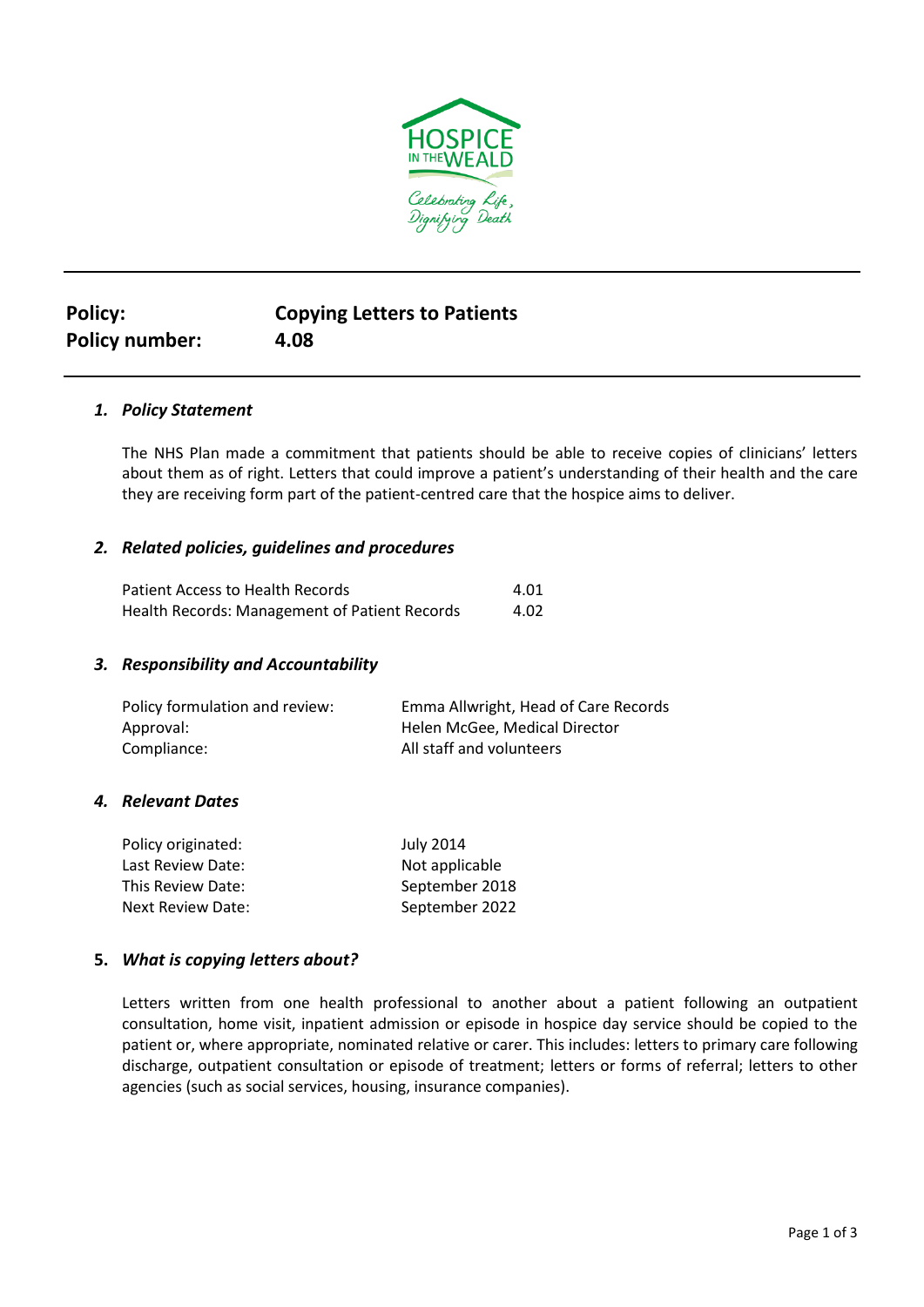

# **Policy: Copying Letters to Patients Policy number: 4.08**

# *1. Policy Statement*

The NHS Plan made a commitment that patients should be able to receive copies of clinicians' letters about them as of right. Letters that could improve a patient's understanding of their health and the care they are receiving form part of the patient-centred care that the hospice aims to deliver.

## *2. Related policies, guidelines and procedures*

| Patient Access to Health Records              | 4.01 |
|-----------------------------------------------|------|
| Health Records: Management of Patient Records | 4.02 |

## *3. Responsibility and Accountability*

| Policy formulation and review: | Emma Allwright, Head of Care Records |
|--------------------------------|--------------------------------------|
| Approval:                      | Helen McGee, Medical Director        |
| Compliance:                    | All staff and volunteers             |

## *4. Relevant Dates*

| Policy originated: | <b>July 2014</b> |
|--------------------|------------------|
| Last Review Date:  | Not applicable   |
| This Review Date:  | September 2018   |
| Next Review Date:  | September 2022   |

## **5.** *What is copying letters about?*

Letters written from one health professional to another about a patient following an outpatient consultation, home visit, inpatient admission or episode in hospice day service should be copied to the patient or, where appropriate, nominated relative or carer. This includes: letters to primary care following discharge, outpatient consultation or episode of treatment; letters or forms of referral; letters to other agencies (such as social services, housing, insurance companies).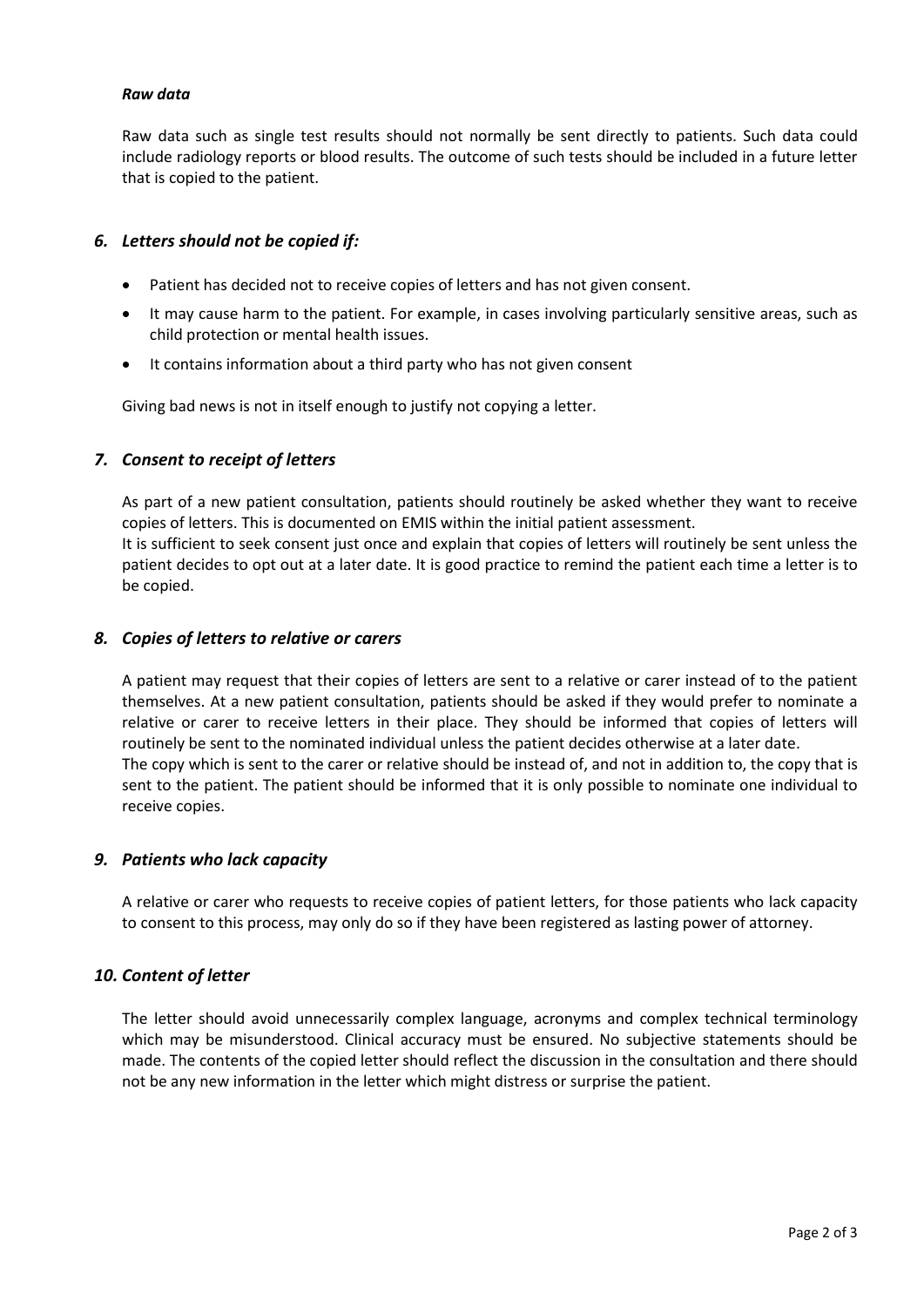#### *Raw data*

Raw data such as single test results should not normally be sent directly to patients. Such data could include radiology reports or blood results. The outcome of such tests should be included in a future letter that is copied to the patient.

## *6. Letters should not be copied if:*

- Patient has decided not to receive copies of letters and has not given consent.
- It may cause harm to the patient. For example, in cases involving particularly sensitive areas, such as child protection or mental health issues.
- It contains information about a third party who has not given consent

Giving bad news is not in itself enough to justify not copying a letter.

## *7. Consent to receipt of letters*

As part of a new patient consultation, patients should routinely be asked whether they want to receive copies of letters. This is documented on EMIS within the initial patient assessment. It is sufficient to seek consent just once and explain that copies of letters will routinely be sent unless the patient decides to opt out at a later date. It is good practice to remind the patient each time a letter is to be copied.

#### *8. Copies of letters to relative or carers*

A patient may request that their copies of letters are sent to a relative or carer instead of to the patient themselves. At a new patient consultation, patients should be asked if they would prefer to nominate a relative or carer to receive letters in their place. They should be informed that copies of letters will routinely be sent to the nominated individual unless the patient decides otherwise at a later date. The copy which is sent to the carer or relative should be instead of, and not in addition to, the copy that is sent to the patient. The patient should be informed that it is only possible to nominate one individual to receive copies.

#### *9. Patients who lack capacity*

A relative or carer who requests to receive copies of patient letters, for those patients who lack capacity to consent to this process, may only do so if they have been registered as lasting power of attorney.

## *10. Content of letter*

The letter should avoid unnecessarily complex language, acronyms and complex technical terminology which may be misunderstood. Clinical accuracy must be ensured. No subjective statements should be made. The contents of the copied letter should reflect the discussion in the consultation and there should not be any new information in the letter which might distress or surprise the patient.